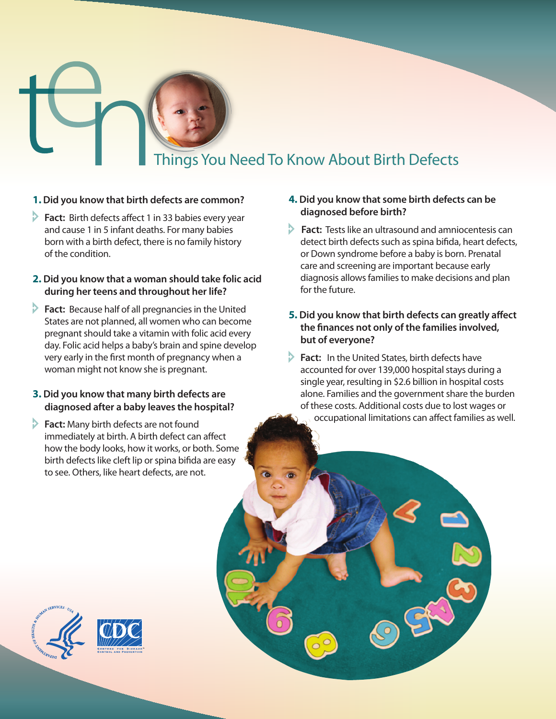# Things You Need To Know About Birth Defects

### **1.Did you know that birth defects are common?**

**Fact:** Birth defects affect 1 in 33 babies every year and cause 1 in 5 infant deaths. For many babies born with a birth defect, there is no family history of the condition.

### **2. Did you know that a woman should take folic acid during her teens and throughout her life?**

**Fact:** Because half of all pregnancies in the United States are not planned, all women who can become pregnant should take a vitamin with folic acid every day. Folic acid helps a baby's brain and spine develop very early in the first month of pregnancy when a woman might not know she is pregnant.

## **3. Did you know that many birth defects are diagnosed after a baby leaves the hospital?**

**Fact:** Many birth defects are not found immediately at birth. A birth defect can affect how the body looks, how it works, or both. Some birth defects like cleft lip or spina bifida are easy to see. Others, like heart defects, are not.

### **4. Did you know that some birth defects can be diagnosed before birth?**

**Fact:** Tests like an ultrasound and amniocentesis can detect birth defects such as spina bifida, heart defects, or Down syndrome before a baby is born. Prenatal care and screening are important because early diagnosis allows families to make decisions and plan for the future.

# **5. Did you know that birth defects can greatly affect the finances not only of the families involved, but of everyone?**

**Fact:** In the United States, birth defects have accounted for over 139,000 hospital stays during a single year, resulting in \$2.6 billion in hospital costs alone. Families and the government share the burden of these costs. Additional costs due to lost wages or occupational limitations can affect families as well.